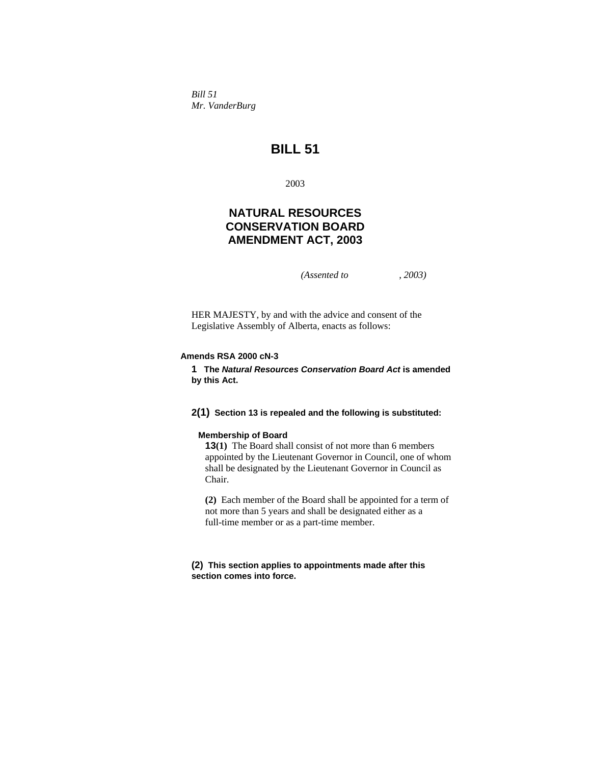*Bill 51 Mr. VanderBurg* 

# **BILL 51**

2003

## **NATURAL RESOURCES CONSERVATION BOARD AMENDMENT ACT, 2003**

*(Assented to , 2003)* 

HER MAJESTY, by and with the advice and consent of the Legislative Assembly of Alberta, enacts as follows:

## **Amends RSA 2000 cN-3**

**1 The** *Natural Resources Conservation Board Act* **is amended by this Act.** 

#### **2(1) Section 13 is repealed and the following is substituted:**

#### **Membership of Board**

**13(1)** The Board shall consist of not more than 6 members appointed by the Lieutenant Governor in Council, one of whom shall be designated by the Lieutenant Governor in Council as Chair.

**(2)** Each member of the Board shall be appointed for a term of not more than 5 years and shall be designated either as a full-time member or as a part-time member.

#### **(2) This section applies to appointments made after this section comes into force.**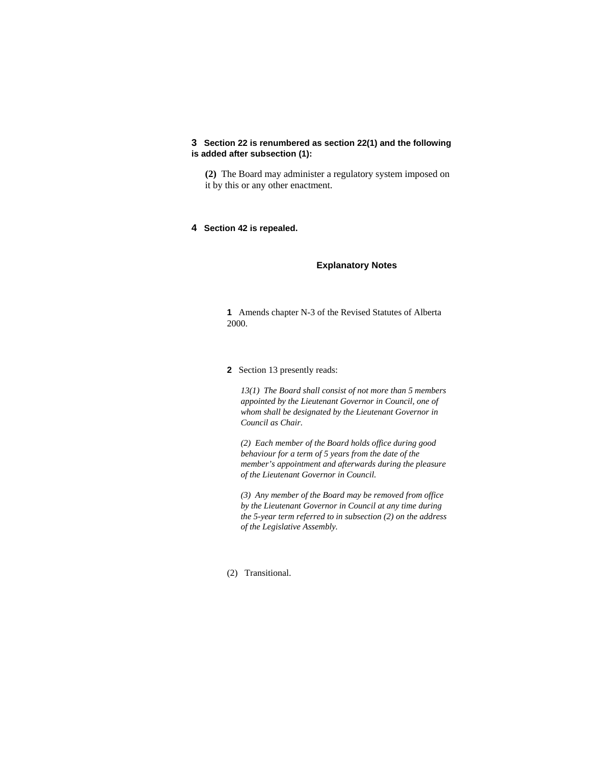## **3 Section 22 is renumbered as section 22(1) and the following is added after subsection (1):**

**(2)** The Board may administer a regulatory system imposed on it by this or any other enactment.

### **4 Section 42 is repealed.**

## **Explanatory Notes**

**1** Amends chapter N-3 of the Revised Statutes of Alberta 2000.

#### **2** Section 13 presently reads:

*13(1) The Board shall consist of not more than 5 members appointed by the Lieutenant Governor in Council, one of whom shall be designated by the Lieutenant Governor in Council as Chair.* 

*(2) Each member of the Board holds office during good behaviour for a term of 5 years from the date of the member's appointment and afterwards during the pleasure of the Lieutenant Governor in Council.* 

*(3) Any member of the Board may be removed from office by the Lieutenant Governor in Council at any time during the 5-year term referred to in subsection (2) on the address of the Legislative Assembly.* 

## (2) Transitional.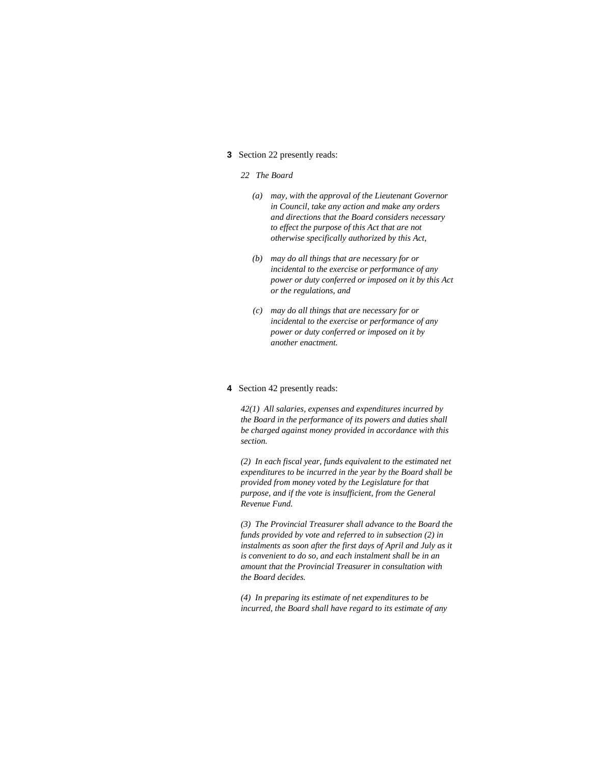#### **3** Section 22 presently reads:

## *22 The Board*

- *(a) may, with the approval of the Lieutenant Governor in Council, take any action and make any orders and directions that the Board considers necessary to effect the purpose of this Act that are not otherwise specifically authorized by this Act,*
- *(b) may do all things that are necessary for or incidental to the exercise or performance of any power or duty conferred or imposed on it by this Act or the regulations, and*
- *(c) may do all things that are necessary for or incidental to the exercise or performance of any power or duty conferred or imposed on it by another enactment.*

#### **4** Section 42 presently reads:

*42(1) All salaries, expenses and expenditures incurred by the Board in the performance of its powers and duties shall be charged against money provided in accordance with this section.* 

*(2) In each fiscal year, funds equivalent to the estimated net expenditures to be incurred in the year by the Board shall be provided from money voted by the Legislature for that purpose, and if the vote is insufficient, from the General Revenue Fund.* 

*(3) The Provincial Treasurer shall advance to the Board the funds provided by vote and referred to in subsection (2) in instalments as soon after the first days of April and July as it is convenient to do so, and each instalment shall be in an amount that the Provincial Treasurer in consultation with the Board decides.* 

*(4) In preparing its estimate of net expenditures to be incurred, the Board shall have regard to its estimate of any*